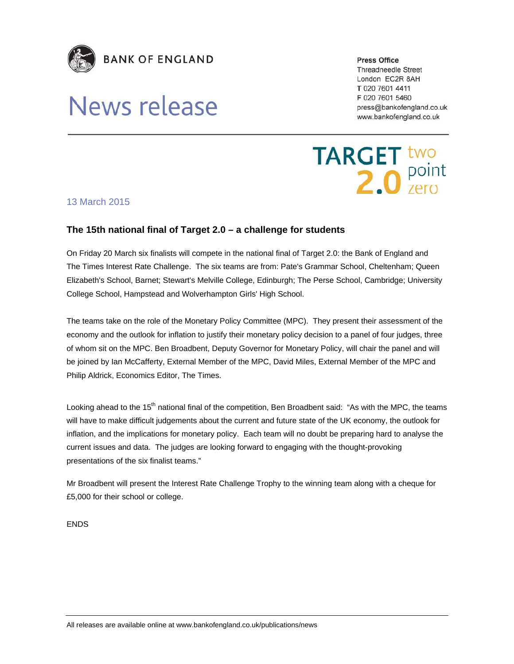

## News release

**Press Office** 

**Threadneedle Street** London EC2R 8AH T 020 7601 4411 F 020 7601 5460 press@bankofengland.co.uk www.bankofengland.co.uk

**TARGET two**<br>**2.0** Point

## 13 March 2015

## **The 15th national final of Target 2.0 – a challenge for students**

On Friday 20 March six finalists will compete in the national final of Target 2.0: the Bank of England and The Times Interest Rate Challenge. The six teams are from: Pate's Grammar School, Cheltenham; Queen Elizabeth's School, Barnet; Stewart's Melville College, Edinburgh; The Perse School, Cambridge; University College School, Hampstead and Wolverhampton Girls' High School.

The teams take on the role of the Monetary Policy Committee (MPC). They present their assessment of the economy and the outlook for inflation to justify their monetary policy decision to a panel of four judges, three of whom sit on the MPC. Ben Broadbent, Deputy Governor for Monetary Policy, will chair the panel and will be joined by Ian McCafferty, External Member of the MPC, David Miles, External Member of the MPC and Philip Aldrick, Economics Editor, The Times.

Looking ahead to the 15<sup>th</sup> national final of the competition, Ben Broadbent said: "As with the MPC, the teams will have to make difficult judgements about the current and future state of the UK economy, the outlook for inflation, and the implications for monetary policy. Each team will no doubt be preparing hard to analyse the current issues and data. The judges are looking forward to engaging with the thought-provoking presentations of the six finalist teams."

Mr Broadbent will present the Interest Rate Challenge Trophy to the winning team along with a cheque for £5,000 for their school or college.

ENDS